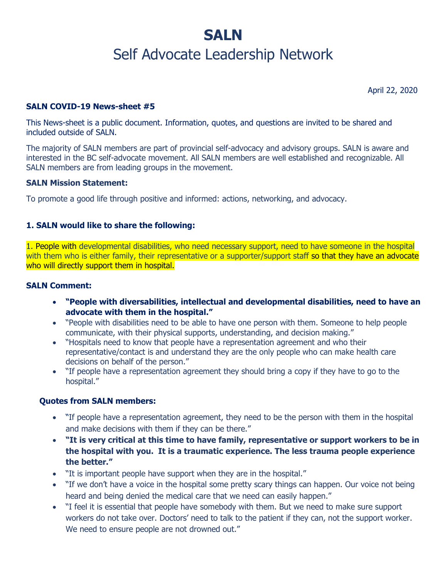# **SALN** Self Advocate Leadership Network

April 22, 2020

#### **SALN COVID-19 News-sheet #5**

This News-sheet is a public document. Information, quotes, and questions are invited to be shared and included outside of SALN.

The majority of SALN members are part of provincial self-advocacy and advisory groups. SALN is aware and interested in the BC self-advocate movement. All SALN members are well established and recognizable. All SALN members are from leading groups in the movement.

#### **SALN Mission Statement:**

To promote a good life through positive and informed: actions, networking, and advocacy.

#### **1. SALN would like to share the following:**

1. People with developmental disabilities, who need necessary support, need to have someone in the hospital with them who is either family, their representative or a supporter/support staff so that they have an advocate who will directly support them in hospital.

#### **SALN Comment:**

- **"People with diversabilities, intellectual and developmental disabilities, need to have an advocate with them in the hospital."**
- "People with disabilities need to be able to have one person with them. Someone to help people communicate, with their physical supports, understanding, and decision making."
- "Hospitals need to know that people have a representation agreement and who their representative/contact is and understand they are the only people who can make health care decisions on behalf of the person."
- "If people have a representation agreement they should bring a copy if they have to go to the hospital."

#### **Quotes from SALN members:**

- "If people have a representation agreement, they need to be the person with them in the hospital and make decisions with them if they can be there."
- **"It is very critical at this time to have family, representative or support workers to be in the hospital with you. It is a traumatic experience. The less trauma people experience the better."**
- "It is important people have support when they are in the hospital."
- "If we don't have a voice in the hospital some pretty scary things can happen. Our voice not being heard and being denied the medical care that we need can easily happen."
- "I feel it is essential that people have somebody with them. But we need to make sure support workers do not take over. Doctors' need to talk to the patient if they can, not the support worker. We need to ensure people are not drowned out."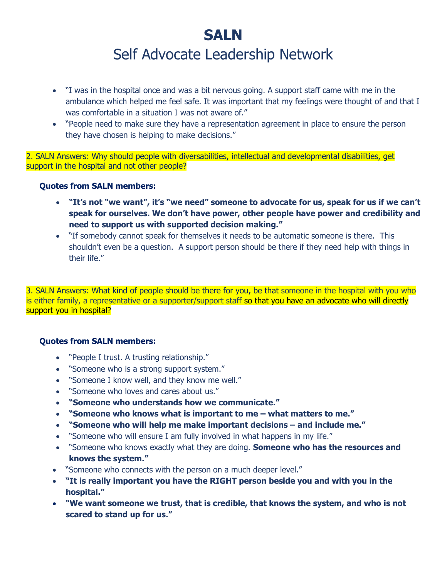# **SALN** Self Advocate Leadership Network

- "I was in the hospital once and was a bit nervous going. A support staff came with me in the ambulance which helped me feel safe. It was important that my feelings were thought of and that I was comfortable in a situation I was not aware of."
- "People need to make sure they have a representation agreement in place to ensure the person they have chosen is helping to make decisions."

2. SALN Answers: Why should people with diversabilities, intellectual and developmental disabilities, get support in the hospital and not other people?

### **Quotes from SALN members:**

- **"It's not "we want", it's "we need" someone to advocate for us, speak for us if we can't speak for ourselves. We don't have power, other people have power and credibility and need to support us with supported decision making."**
- "If somebody cannot speak for themselves it needs to be automatic someone is there. This shouldn't even be a question. A support person should be there if they need help with things in their life."

3. SALN Answers: What kind of people should be there for you, be that someone in the hospital with you who is either family, a representative or a supporter/support staff so that you have an advocate who will directly support you in hospital?

### **Quotes from SALN members:**

- "People I trust. A trusting relationship."
- "Someone who is a strong support system."
- "Someone I know well, and they know me well."
- "Someone who loves and cares about us."
- **"Someone who understands how we communicate."**
- **"Someone who knows what is important to me – what matters to me."**
- **•** "Someone who will help me make important decisions and include me."
- "Someone who will ensure I am fully involved in what happens in my life."
- "Someone who knows exactly what they are doing. **Someone who has the resources and knows the system."**
- "Someone who connects with the person on a much deeper level."
- **"It is really important you have the RIGHT person beside you and with you in the hospital."**
- **"We want someone we trust, that is credible, that knows the system, and who is not scared to stand up for us."**